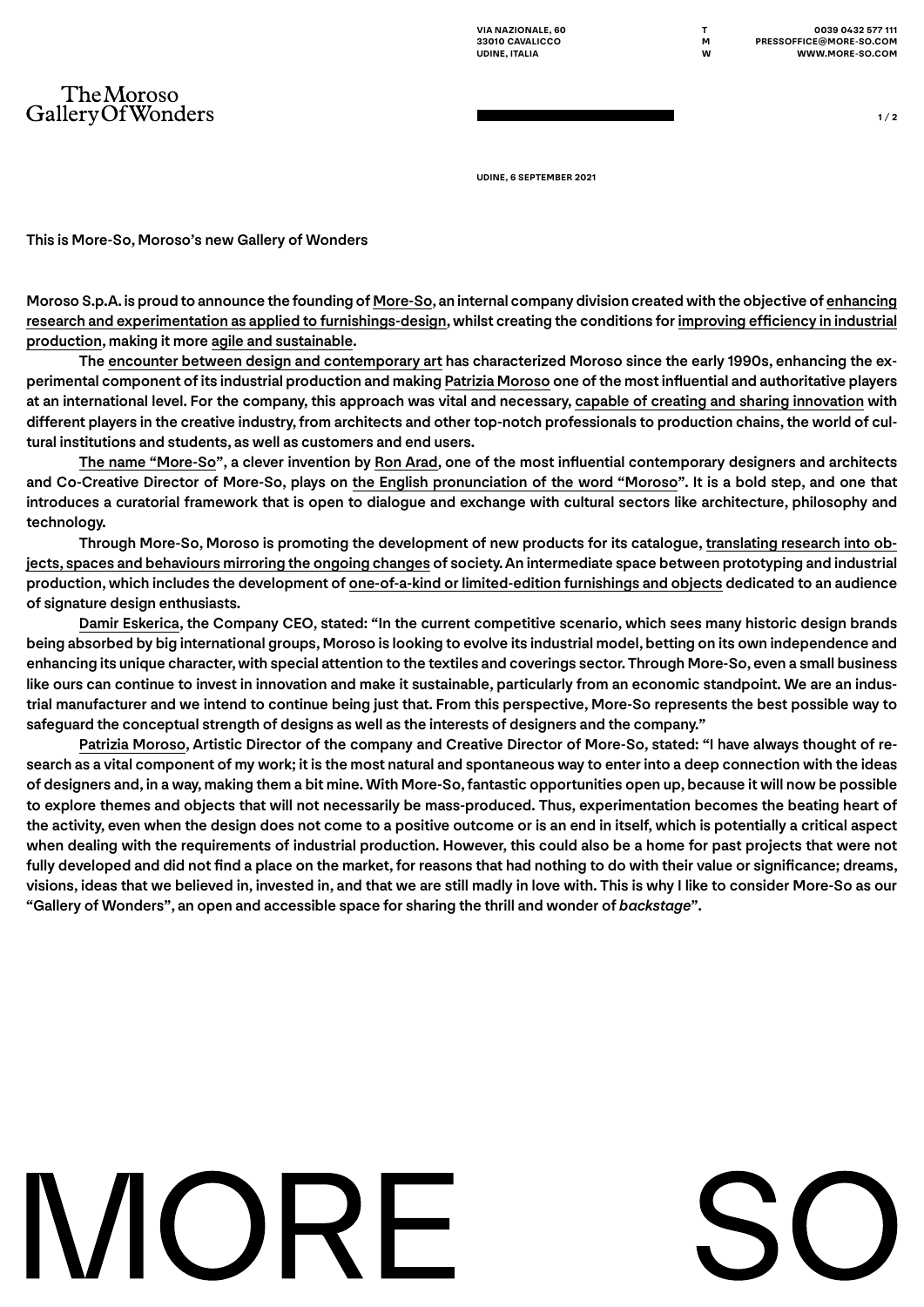**UDINE, 6 SEPTEMBER 2021**

This is More-So, Moroso's new Gallery of Wonders

TheMoroso GalleryOfWonders

Moroso S.p.A. is proud to announce the founding of More-So, an internal company division created with the objective of enhancing research and experimentation as applied to furnishings-design, whilst creating the conditions for improving efficiency in industrial production, making it more agile and sustainable.

The encounter between design and contemporary art has characterized Moroso since the early 1990s, enhancing the experimental component of its industrial production and making Patrizia Moroso one of the most influential and authoritative players at an international level. For the company, this approach was vital and necessary, capable of creating and sharing innovation with different players in the creative industry, from architects and other top-notch professionals to production chains, the world of cultural institutions and students, as well as customers and end users.

The name "More-So", a clever invention by Ron Arad, one of the most influential contemporary designers and architects and Co-Creative Director of More-So, plays on the English pronunciation of the word "Moroso". It is a bold step, and one that introduces a curatorial framework that is open to dialogue and exchange with cultural sectors like architecture, philosophy and technology.

Through More-So, Moroso is promoting the development of new products for its catalogue, translating research into objects, spaces and behaviours mirroring the ongoing changes of society. An intermediate space between prototyping and industrial production, which includes the development of one-of-a-kind or limited-edition furnishings and objects dedicated to an audience of signature design enthusiasts.

Damir Eskerica, the Company CEO, stated: "In the current competitive scenario, which sees many historic design brands being absorbed by big international groups, Moroso is looking to evolve its industrial model, betting on its own independence and enhancing its unique character, with special attention to the textiles and coverings sector. Through More-So, even a small business like ours can continue to invest in innovation and make it sustainable, particularly from an economic standpoint. We are an industrial manufacturer and we intend to continue being just that. From this perspective, More-So represents the best possible way to safeguard the conceptual strength of designs as well as the interests of designers and the company."

Patrizia Moroso, Artistic Director of the company and Creative Director of More-So, stated: "I have always thought of research as a vital component of my work; it is the most natural and spontaneous way to enter into a deep connection with the ideas of designers and, in a way, making them a bit mine. With More-So, fantastic opportunities open up, because it will now be possible to explore themes and objects that will not necessarily be mass-produced. Thus, experimentation becomes the beating heart of the activity, even when the design does not come to a positive outcome or is an end in itself, which is potentially a critical aspect when dealing with the requirements of industrial production. However, this could also be a home for past projects that were not fully developed and did not find a place on the market, for reasons that had nothing to do with their value or significance; dreams, visions, ideas that we believed in, invested in, and that we are still madly in love with. This is why I like to consider More-So as our "Gallery of Wonders", an open and accessible space for sharing the thrill and wonder of *backstage*".

## MORE

**1 / 2**